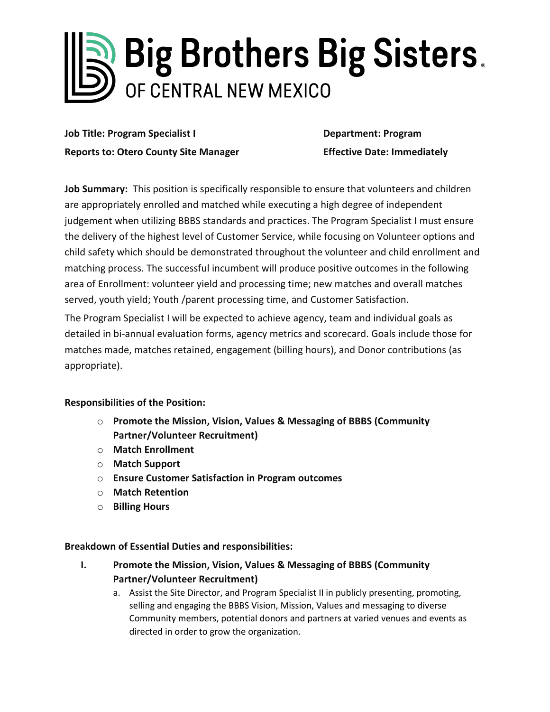# Rig Brothers Big Sisters. OF CENTRAL NEW MEXICO

**Job Title: Program Specialist I Department: Program Reports to: Otero County Site Manager Effective Date: Immediately**

**Job Summary:** This position is specifically responsible to ensure that volunteers and children are appropriately enrolled and matched while executing a high degree of independent judgement when utilizing BBBS standards and practices. The Program Specialist I must ensure the delivery of the highest level of Customer Service, while focusing on Volunteer options and child safety which should be demonstrated throughout the volunteer and child enrollment and matching process. The successful incumbent will produce positive outcomes in the following area of Enrollment: volunteer yield and processing time; new matches and overall matches served, youth yield; Youth /parent processing time, and Customer Satisfaction.

The Program Specialist I will be expected to achieve agency, team and individual goals as detailed in bi-annual evaluation forms, agency metrics and scorecard. Goals include those for matches made, matches retained, engagement (billing hours), and Donor contributions (as appropriate).

## **Responsibilities of the Position:**

- o **Promote the Mission, Vision, Values & Messaging of BBBS (Community Partner/Volunteer Recruitment)**
- o **Match Enrollment**
- o **Match Support**
- o **Ensure Customer Satisfaction in Program outcomes**
- o **Match Retention**
- o **Billing Hours**

## **Breakdown of Essential Duties and responsibilities:**

- **I. Promote the Mission, Vision, Values & Messaging of BBBS (Community Partner/Volunteer Recruitment)**
	- a. Assist the Site Director, and Program Specialist II in publicly presenting, promoting, selling and engaging the BBBS Vision, Mission, Values and messaging to diverse Community members, potential donors and partners at varied venues and events as directed in order to grow the organization.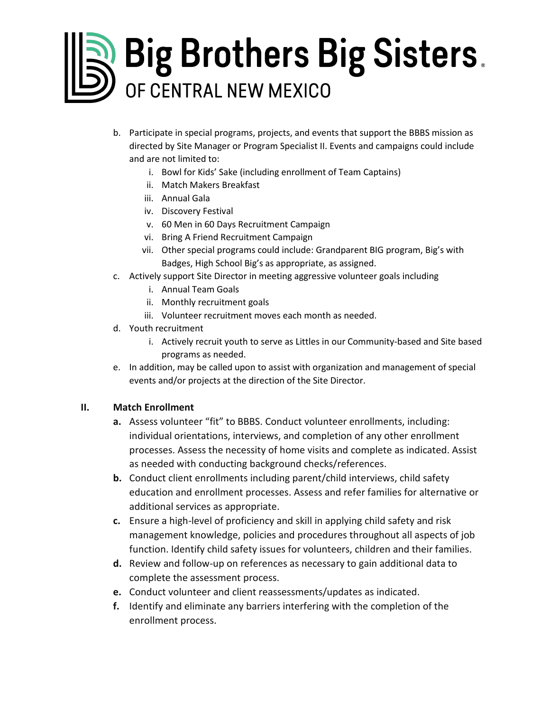# Big Brothers Big Sisters. OF CENTRAL NEW MEXICO

- b. Participate in special programs, projects, and events that support the BBBS mission as directed by Site Manager or Program Specialist II. Events and campaigns could include and are not limited to:
	- i. Bowl for Kids' Sake (including enrollment of Team Captains)
	- ii. Match Makers Breakfast
	- iii. Annual Gala
	- iv. Discovery Festival
	- v. 60 Men in 60 Days Recruitment Campaign
	- vi. Bring A Friend Recruitment Campaign
	- vii. Other special programs could include: Grandparent BIG program, Big's with Badges, High School Big's as appropriate, as assigned.
- c. Actively support Site Director in meeting aggressive volunteer goals including
	- i. Annual Team Goals
	- ii. Monthly recruitment goals
	- iii. Volunteer recruitment moves each month as needed.
- d. Youth recruitment
	- i. Actively recruit youth to serve as Littles in our Community-based and Site based programs as needed.
- e. In addition, may be called upon to assist with organization and management of special events and/or projects at the direction of the Site Director.

## **II. Match Enrollment**

- **a.** Assess volunteer "fit" to BBBS. Conduct volunteer enrollments, including: individual orientations, interviews, and completion of any other enrollment processes. Assess the necessity of home visits and complete as indicated. Assist as needed with conducting background checks/references.
- **b.** Conduct client enrollments including parent/child interviews, child safety education and enrollment processes. Assess and refer families for alternative or additional services as appropriate.
- **c.** Ensure a high-level of proficiency and skill in applying child safety and risk management knowledge, policies and procedures throughout all aspects of job function. Identify child safety issues for volunteers, children and their families.
- **d.** Review and follow-up on references as necessary to gain additional data to complete the assessment process.
- **e.** Conduct volunteer and client reassessments/updates as indicated.
- **f.** Identify and eliminate any barriers interfering with the completion of the enrollment process.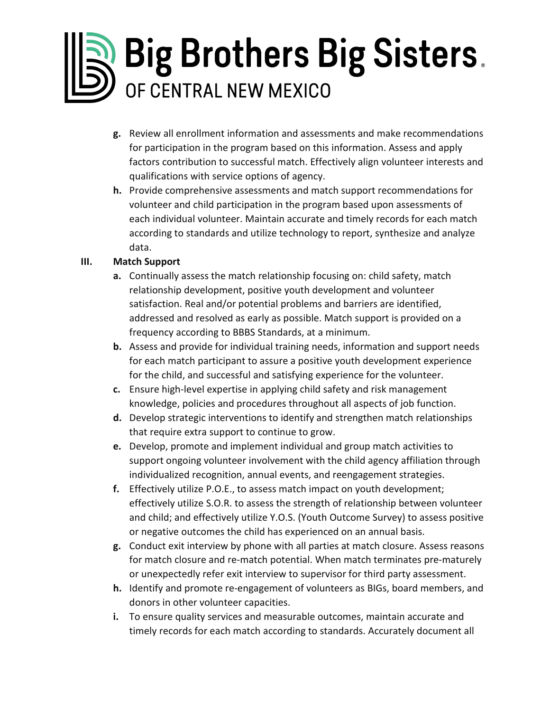# Big Brothers Big Sisters. OF CENTRAL NEW MEXICO

- **g.** Review all enrollment information and assessments and make recommendations for participation in the program based on this information. Assess and apply factors contribution to successful match. Effectively align volunteer interests and qualifications with service options of agency.
- **h.** Provide comprehensive assessments and match support recommendations for volunteer and child participation in the program based upon assessments of each individual volunteer. Maintain accurate and timely records for each match according to standards and utilize technology to report, synthesize and analyze data.

## **III. Match Support**

- **a.** Continually assess the match relationship focusing on: child safety, match relationship development, positive youth development and volunteer satisfaction. Real and/or potential problems and barriers are identified, addressed and resolved as early as possible. Match support is provided on a frequency according to BBBS Standards, at a minimum.
- **b.** Assess and provide for individual training needs, information and support needs for each match participant to assure a positive youth development experience for the child, and successful and satisfying experience for the volunteer.
- **c.** Ensure high-level expertise in applying child safety and risk management knowledge, policies and procedures throughout all aspects of job function.
- **d.** Develop strategic interventions to identify and strengthen match relationships that require extra support to continue to grow.
- **e.** Develop, promote and implement individual and group match activities to support ongoing volunteer involvement with the child agency affiliation through individualized recognition, annual events, and reengagement strategies.
- **f.** Effectively utilize P.O.E., to assess match impact on youth development; effectively utilize S.O.R. to assess the strength of relationship between volunteer and child; and effectively utilize Y.O.S. (Youth Outcome Survey) to assess positive or negative outcomes the child has experienced on an annual basis.
- **g.** Conduct exit interview by phone with all parties at match closure. Assess reasons for match closure and re-match potential. When match terminates pre-maturely or unexpectedly refer exit interview to supervisor for third party assessment.
- **h.** Identify and promote re-engagement of volunteers as BIGs, board members, and donors in other volunteer capacities.
- **i.** To ensure quality services and measurable outcomes, maintain accurate and timely records for each match according to standards. Accurately document all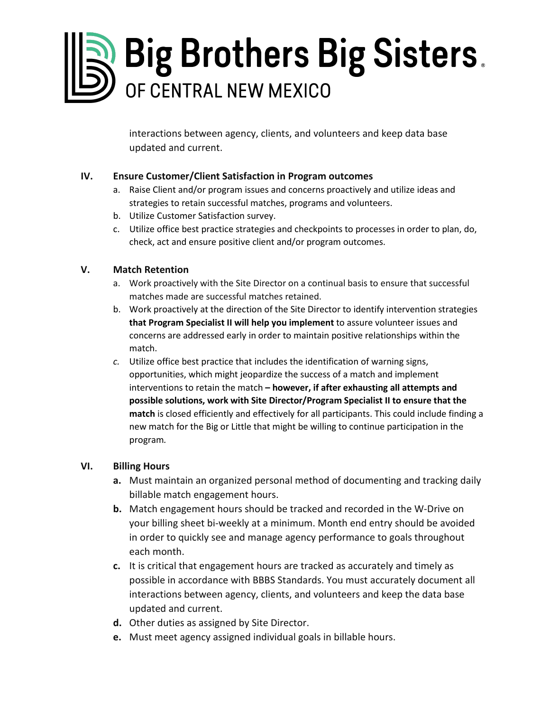# Big Brothers Big Sisters. OF CENTRAL NEW MEXICO

interactions between agency, clients, and volunteers and keep data base updated and current.

## **IV. Ensure Customer/Client Satisfaction in Program outcomes**

- a. Raise Client and/or program issues and concerns proactively and utilize ideas and strategies to retain successful matches, programs and volunteers.
- b. Utilize Customer Satisfaction survey.
- c. Utilize office best practice strategies and checkpoints to processes in order to plan, do, check, act and ensure positive client and/or program outcomes.

## **V. Match Retention**

- a. Work proactively with the Site Director on a continual basis to ensure that successful matches made are successful matches retained.
- b. Work proactively at the direction of the Site Director to identify intervention strategies **that Program Specialist II will help you implement** to assure volunteer issues and concerns are addressed early in order to maintain positive relationships within the match.
- *c.* Utilize office best practice that includes the identification of warning signs, opportunities, which might jeopardize the success of a match and implement interventions to retain the match **– however, if after exhausting all attempts and possible solutions, work with Site Director/Program Specialist II to ensure that the match** is closed efficiently and effectively for all participants. This could include finding a new match for the Big or Little that might be willing to continue participation in the program*.*

## **VI. Billing Hours**

- **a.** Must maintain an organized personal method of documenting and tracking daily billable match engagement hours.
- **b.** Match engagement hours should be tracked and recorded in the W-Drive on your billing sheet bi-weekly at a minimum. Month end entry should be avoided in order to quickly see and manage agency performance to goals throughout each month.
- **c.** It is critical that engagement hours are tracked as accurately and timely as possible in accordance with BBBS Standards. You must accurately document all interactions between agency, clients, and volunteers and keep the data base updated and current.
- **d.** Other duties as assigned by Site Director.
- **e.** Must meet agency assigned individual goals in billable hours.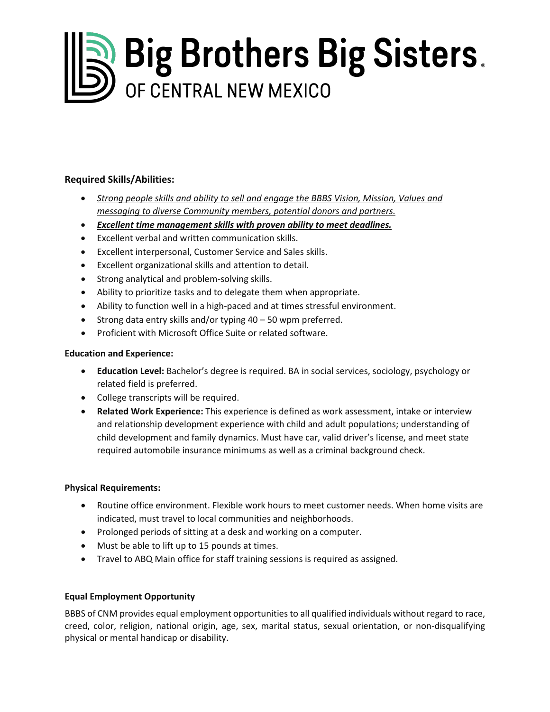# **Big Brothers Big Sisters.**

## **Required Skills/Abilities:**

- *Strong people skills and ability to sell and engage the BBBS Vision, Mission, Values and messaging to diverse Community members, potential donors and partners.*
- *Excellent time management skills with proven ability to meet deadlines.*
- Excellent verbal and written communication skills.
- Excellent interpersonal, Customer Service and Sales skills.
- Excellent organizational skills and attention to detail.
- Strong analytical and problem-solving skills.
- Ability to prioritize tasks and to delegate them when appropriate.
- Ability to function well in a high-paced and at times stressful environment.
- Strong data entry skills and/or typing 40 50 wpm preferred.
- Proficient with Microsoft Office Suite or related software.

#### **Education and Experience:**

- **Education Level:** Bachelor's degree is required. BA in social services, sociology, psychology or related field is preferred.
- College transcripts will be required.
- **Related Work Experience:** This experience is defined as work assessment, intake or interview and relationship development experience with child and adult populations; understanding of child development and family dynamics. Must have car, valid driver's license, and meet state required automobile insurance minimums as well as a criminal background check.

#### **Physical Requirements:**

- Routine office environment. Flexible work hours to meet customer needs. When home visits are indicated, must travel to local communities and neighborhoods.
- Prolonged periods of sitting at a desk and working on a computer.
- Must be able to lift up to 15 pounds at times.
- Travel to ABQ Main office for staff training sessions is required as assigned.

#### **Equal Employment Opportunity**

BBBS of CNM provides equal employment opportunities to all qualified individuals without regard to race, creed, color, religion, national origin, age, sex, marital status, sexual orientation, or non-disqualifying physical or mental handicap or disability.